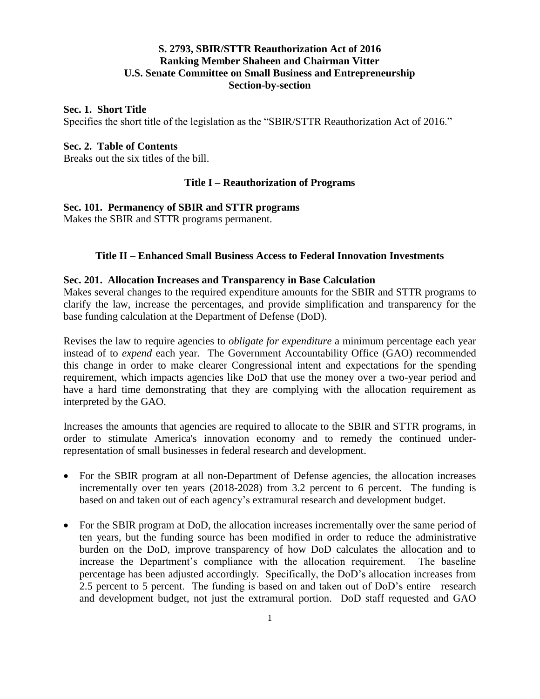## **S. 2793, SBIR/STTR Reauthorization Act of 2016 Ranking Member Shaheen and Chairman Vitter U.S. Senate Committee on Small Business and Entrepreneurship Section-by-section**

### **Sec. 1. Short Title**

Specifies the short title of the legislation as the "SBIR/STTR Reauthorization Act of 2016."

### **Sec. 2. Table of Contents**

Breaks out the six titles of the bill.

## **Title I – Reauthorization of Programs**

## **Sec. 101. Permanency of SBIR and STTR programs**

Makes the SBIR and STTR programs permanent.

## **Title II – Enhanced Small Business Access to Federal Innovation Investments**

## **Sec. 201. Allocation Increases and Transparency in Base Calculation**

Makes several changes to the required expenditure amounts for the SBIR and STTR programs to clarify the law, increase the percentages, and provide simplification and transparency for the base funding calculation at the Department of Defense (DoD).

Revises the law to require agencies to *obligate for expenditure* a minimum percentage each year instead of to *expend* each year*.* The Government Accountability Office (GAO) recommended this change in order to make clearer Congressional intent and expectations for the spending requirement, which impacts agencies like DoD that use the money over a two-year period and have a hard time demonstrating that they are complying with the allocation requirement as interpreted by the GAO.

Increases the amounts that agencies are required to allocate to the SBIR and STTR programs, in order to stimulate America's innovation economy and to remedy the continued underrepresentation of small businesses in federal research and development.

- For the SBIR program at all non-Department of Defense agencies, the allocation increases incrementally over ten years (2018-2028) from 3.2 percent to 6 percent. The funding is based on and taken out of each agency's extramural research and development budget.
- For the SBIR program at DoD, the allocation increases incrementally over the same period of ten years, but the funding source has been modified in order to reduce the administrative burden on the DoD, improve transparency of how DoD calculates the allocation and to increase the Department's compliance with the allocation requirement. The baseline percentage has been adjusted accordingly. Specifically, the DoD's allocation increases from 2.5 percent to 5 percent. The funding is based on and taken out of DoD's entire research and development budget, not just the extramural portion. DoD staff requested and GAO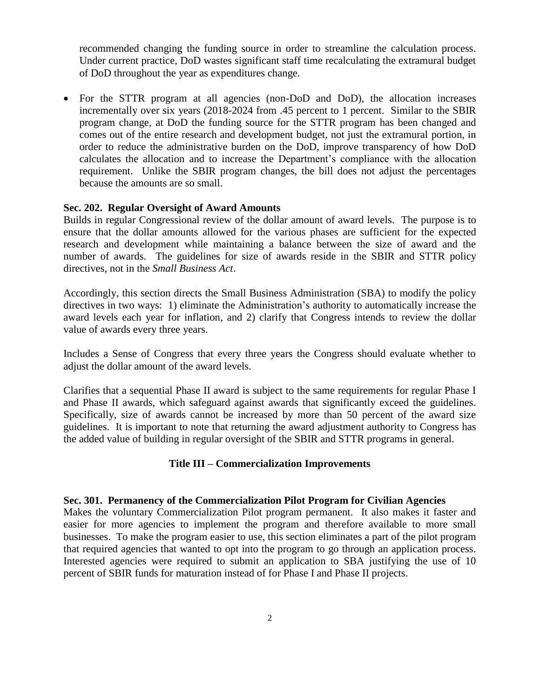recommended changing the funding source in order to streamline the calculation process. Under current practice, DoD wastes significant staff time recalculating the extramural budget of DoD throughout the year as expenditures change.

 For the STTR program at all agencies (non-DoD and DoD), the allocation increases incrementally over six years (2018-2024 from .45 percent to 1 percent. Similar to the SBIR program change, at DoD the funding source for the STTR program has been changed and comes out of the entire research and development budget, not just the extramural portion, in order to reduce the administrative burden on the DoD, improve transparency of how DoD calculates the allocation and to increase the Department's compliance with the allocation requirement. Unlike the SBIR program changes, the bill does not adjust the percentages because the amounts are so small.

### **Sec. 202. Regular Oversight of Award Amounts**

Builds in regular Congressional review of the dollar amount of award levels. The purpose is to ensure that the dollar amounts allowed for the various phases are sufficient for the expected research and development while maintaining a balance between the size of award and the number of awards. The guidelines for size of awards reside in the SBIR and STTR policy directives, not in the *Small Business Act*.

Accordingly, this section directs the Small Business Administration (SBA) to modify the policy directives in two ways: 1) eliminate the Administration's authority to automatically increase the award levels each year for inflation, and 2) clarify that Congress intends to review the dollar value of awards every three years.

Includes a Sense of Congress that every three years the Congress should evaluate whether to adjust the dollar amount of the award levels.

Clarifies that a sequential Phase II award is subject to the same requirements for regular Phase I and Phase II awards, which safeguard against awards that significantly exceed the guidelines. Specifically, size of awards cannot be increased by more than 50 percent of the award size guidelines. It is important to note that returning the award adjustment authority to Congress has the added value of building in regular oversight of the SBIR and STTR programs in general.

### **Title III – Commercialization Improvements**

### **Sec. 301. Permanency of the Commercialization Pilot Program for Civilian Agencies**

Makes the voluntary Commercialization Pilot program permanent. It also makes it faster and easier for more agencies to implement the program and therefore available to more small businesses. To make the program easier to use, this section eliminates a part of the pilot program that required agencies that wanted to opt into the program to go through an application process. Interested agencies were required to submit an application to SBA justifying the use of 10 percent of SBIR funds for maturation instead of for Phase I and Phase II projects.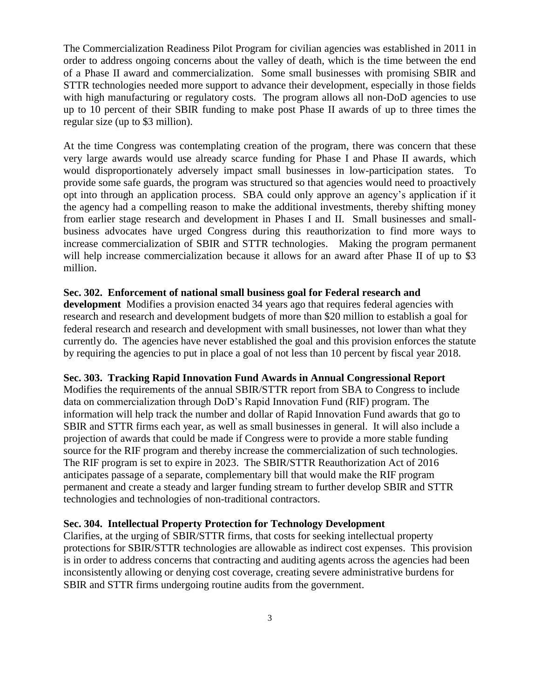The Commercialization Readiness Pilot Program for civilian agencies was established in 2011 in order to address ongoing concerns about the valley of death, which is the time between the end of a Phase II award and commercialization. Some small businesses with promising SBIR and STTR technologies needed more support to advance their development, especially in those fields with high manufacturing or regulatory costs. The program allows all non-DoD agencies to use up to 10 percent of their SBIR funding to make post Phase II awards of up to three times the regular size (up to \$3 million).

At the time Congress was contemplating creation of the program, there was concern that these very large awards would use already scarce funding for Phase I and Phase II awards, which would disproportionately adversely impact small businesses in low-participation states. To provide some safe guards, the program was structured so that agencies would need to proactively opt into through an application process. SBA could only approve an agency's application if it the agency had a compelling reason to make the additional investments, thereby shifting money from earlier stage research and development in Phases I and II. Small businesses and smallbusiness advocates have urged Congress during this reauthorization to find more ways to increase commercialization of SBIR and STTR technologies. Making the program permanent will help increase commercialization because it allows for an award after Phase II of up to \$3 million.

### **Sec. 302. Enforcement of national small business goal for Federal research and**

**development** Modifies a provision enacted 34 years ago that requires federal agencies with research and research and development budgets of more than \$20 million to establish a goal for federal research and research and development with small businesses, not lower than what they currently do. The agencies have never established the goal and this provision enforces the statute by requiring the agencies to put in place a goal of not less than 10 percent by fiscal year 2018.

#### **Sec. 303. Tracking Rapid Innovation Fund Awards in Annual Congressional Report**

Modifies the requirements of the annual SBIR/STTR report from SBA to Congress to include data on commercialization through DoD's Rapid Innovation Fund (RIF) program. The information will help track the number and dollar of Rapid Innovation Fund awards that go to SBIR and STTR firms each year, as well as small businesses in general. It will also include a projection of awards that could be made if Congress were to provide a more stable funding source for the RIF program and thereby increase the commercialization of such technologies. The RIF program is set to expire in 2023. The SBIR/STTR Reauthorization Act of 2016 anticipates passage of a separate, complementary bill that would make the RIF program permanent and create a steady and larger funding stream to further develop SBIR and STTR technologies and technologies of non-traditional contractors.

## **Sec. 304. Intellectual Property Protection for Technology Development**

Clarifies, at the urging of SBIR/STTR firms, that costs for seeking intellectual property protections for SBIR/STTR technologies are allowable as indirect cost expenses. This provision is in order to address concerns that contracting and auditing agents across the agencies had been inconsistently allowing or denying cost coverage, creating severe administrative burdens for SBIR and STTR firms undergoing routine audits from the government.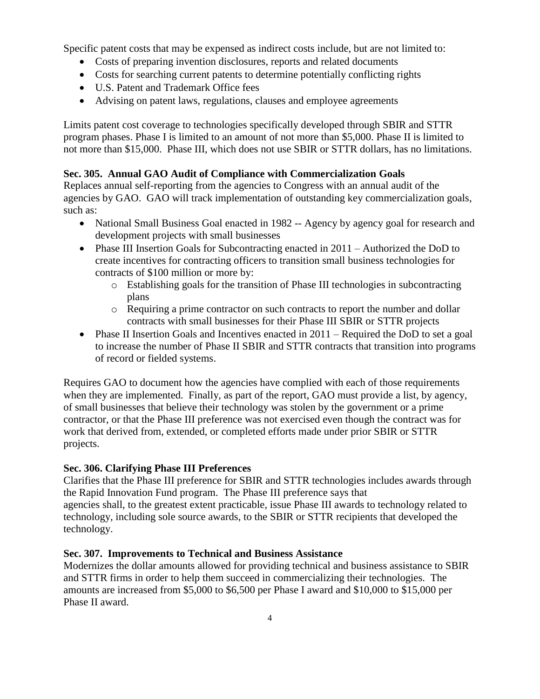Specific patent costs that may be expensed as indirect costs include, but are not limited to:

- Costs of preparing invention disclosures, reports and related documents
- Costs for searching current patents to determine potentially conflicting rights
- U.S. Patent and Trademark Office fees
- Advising on patent laws, regulations, clauses and employee agreements

Limits patent cost coverage to technologies specifically developed through SBIR and STTR program phases. Phase I is limited to an amount of not more than \$5,000. Phase II is limited to not more than \$15,000. Phase III, which does not use SBIR or STTR dollars, has no limitations.

## **Sec. 305. Annual GAO Audit of Compliance with Commercialization Goals**

Replaces annual self-reporting from the agencies to Congress with an annual audit of the agencies by GAO. GAO will track implementation of outstanding key commercialization goals, such as:

- National Small Business Goal enacted in 1982 -- Agency by agency goal for research and development projects with small businesses
- Phase III Insertion Goals for Subcontracting enacted in 2011 Authorized the DoD to create incentives for contracting officers to transition small business technologies for contracts of \$100 million or more by:
	- o Establishing goals for the transition of Phase III technologies in subcontracting plans
	- o Requiring a prime contractor on such contracts to report the number and dollar contracts with small businesses for their Phase III SBIR or STTR projects
- Phase II Insertion Goals and Incentives enacted in  $2011$  Required the DoD to set a goal to increase the number of Phase II SBIR and STTR contracts that transition into programs of record or fielded systems.

Requires GAO to document how the agencies have complied with each of those requirements when they are implemented. Finally, as part of the report, GAO must provide a list, by agency, of small businesses that believe their technology was stolen by the government or a prime contractor, or that the Phase III preference was not exercised even though the contract was for work that derived from, extended, or completed efforts made under prior SBIR or STTR projects.

## **Sec. 306. Clarifying Phase III Preferences**

Clarifies that the Phase III preference for SBIR and STTR technologies includes awards through the Rapid Innovation Fund program. The Phase III preference says that agencies shall, to the greatest extent practicable, issue Phase III awards to technology related to technology, including sole source awards, to the SBIR or STTR recipients that developed the technology.

## **Sec. 307. Improvements to Technical and Business Assistance**

Modernizes the dollar amounts allowed for providing technical and business assistance to SBIR and STTR firms in order to help them succeed in commercializing their technologies. The amounts are increased from \$5,000 to \$6,500 per Phase I award and \$10,000 to \$15,000 per Phase II award.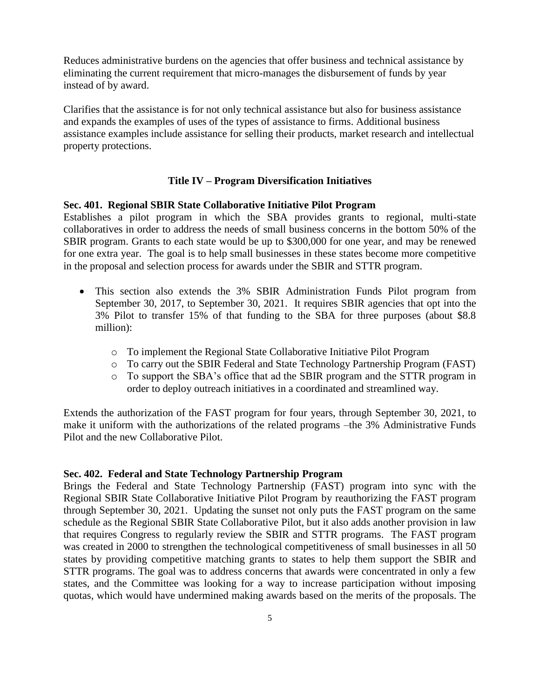Reduces administrative burdens on the agencies that offer business and technical assistance by eliminating the current requirement that micro-manages the disbursement of funds by year instead of by award.

Clarifies that the assistance is for not only technical assistance but also for business assistance and expands the examples of uses of the types of assistance to firms. Additional business assistance examples include assistance for selling their products, market research and intellectual property protections.

## **Title IV – Program Diversification Initiatives**

### **Sec. 401. Regional SBIR State Collaborative Initiative Pilot Program**

Establishes a pilot program in which the SBA provides grants to regional, multi-state collaboratives in order to address the needs of small business concerns in the bottom 50% of the SBIR program. Grants to each state would be up to \$300,000 for one year, and may be renewed for one extra year. The goal is to help small businesses in these states become more competitive in the proposal and selection process for awards under the SBIR and STTR program.

- This section also extends the 3% SBIR Administration Funds Pilot program from September 30, 2017, to September 30, 2021. It requires SBIR agencies that opt into the 3% Pilot to transfer 15% of that funding to the SBA for three purposes (about \$8.8 million):
	- o To implement the Regional State Collaborative Initiative Pilot Program
	- o To carry out the SBIR Federal and State Technology Partnership Program (FAST)
	- o To support the SBA's office that ad the SBIR program and the STTR program in order to deploy outreach initiatives in a coordinated and streamlined way.

Extends the authorization of the FAST program for four years, through September 30, 2021, to make it uniform with the authorizations of the related programs –the 3% Administrative Funds Pilot and the new Collaborative Pilot.

### **Sec. 402. Federal and State Technology Partnership Program**

Brings the Federal and State Technology Partnership (FAST) program into sync with the Regional SBIR State Collaborative Initiative Pilot Program by reauthorizing the FAST program through September 30, 2021. Updating the sunset not only puts the FAST program on the same schedule as the Regional SBIR State Collaborative Pilot, but it also adds another provision in law that requires Congress to regularly review the SBIR and STTR programs. The FAST program was created in 2000 to strengthen the technological competitiveness of small businesses in all 50 states by providing competitive matching grants to states to help them support the SBIR and STTR programs. The goal was to address concerns that awards were concentrated in only a few states, and the Committee was looking for a way to increase participation without imposing quotas, which would have undermined making awards based on the merits of the proposals. The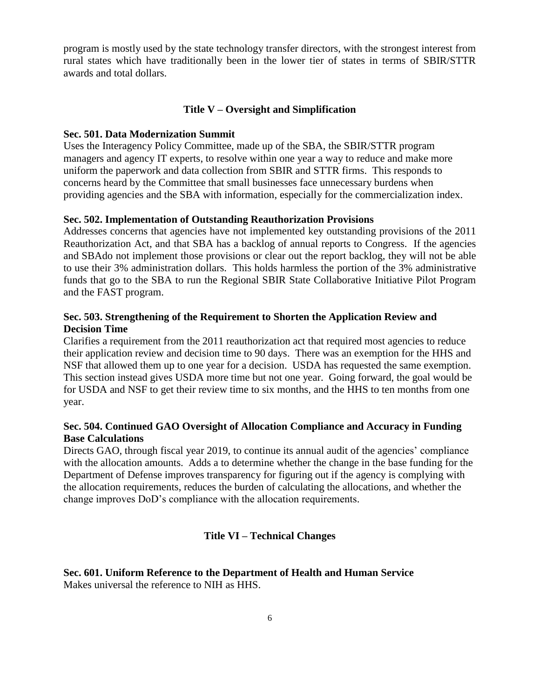program is mostly used by the state technology transfer directors, with the strongest interest from rural states which have traditionally been in the lower tier of states in terms of SBIR/STTR awards and total dollars.

### **Title V – Oversight and Simplification**

### **Sec. 501. Data Modernization Summit**

Uses the Interagency Policy Committee, made up of the SBA, the SBIR/STTR program managers and agency IT experts, to resolve within one year a way to reduce and make more uniform the paperwork and data collection from SBIR and STTR firms. This responds to concerns heard by the Committee that small businesses face unnecessary burdens when providing agencies and the SBA with information, especially for the commercialization index.

### **Sec. 502. Implementation of Outstanding Reauthorization Provisions**

Addresses concerns that agencies have not implemented key outstanding provisions of the 2011 Reauthorization Act, and that SBA has a backlog of annual reports to Congress. If the agencies and SBAdo not implement those provisions or clear out the report backlog, they will not be able to use their 3% administration dollars. This holds harmless the portion of the 3% administrative funds that go to the SBA to run the Regional SBIR State Collaborative Initiative Pilot Program and the FAST program.

## **Sec. 503. Strengthening of the Requirement to Shorten the Application Review and Decision Time**

Clarifies a requirement from the 2011 reauthorization act that required most agencies to reduce their application review and decision time to 90 days. There was an exemption for the HHS and NSF that allowed them up to one year for a decision. USDA has requested the same exemption. This section instead gives USDA more time but not one year. Going forward, the goal would be for USDA and NSF to get their review time to six months, and the HHS to ten months from one year.

## **Sec. 504. Continued GAO Oversight of Allocation Compliance and Accuracy in Funding Base Calculations**

Directs GAO, through fiscal year 2019, to continue its annual audit of the agencies' compliance with the allocation amounts. Adds a to determine whether the change in the base funding for the Department of Defense improves transparency for figuring out if the agency is complying with the allocation requirements, reduces the burden of calculating the allocations, and whether the change improves DoD's compliance with the allocation requirements.

### **Title VI – Technical Changes**

**Sec. 601. Uniform Reference to the Department of Health and Human Service** Makes universal the reference to NIH as HHS.